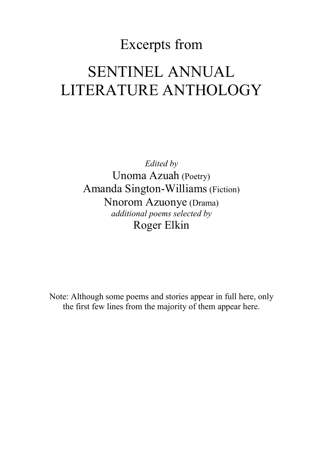# Excerpts from SENTINEL ANNUAL LITERATURE ANTHOLOGY

*Edited by* Unoma Azuah (Poetry) Amanda Sington-Williams(Fiction) Nnorom Azuonye (Drama) *additional poems selected by* Roger Elkin

Note: Although some poems and stories appear in full here, only the first few lines from the majority of them appear here.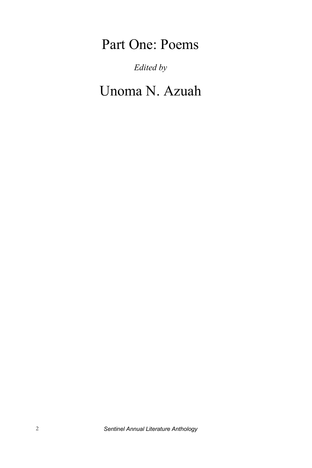# Part One: Poems

*Edited by* 

Unoma N. Azuah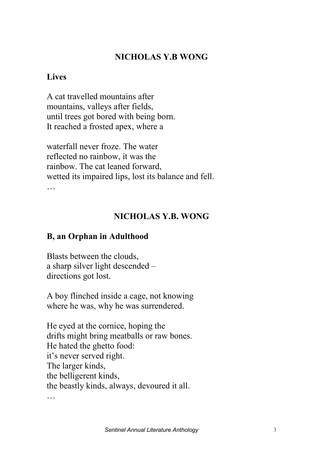### **NICHOLAS Y.B WONG**

#### **Lives**

A cat travelled mountains after mountains, valleys after fields, until trees got bored with being born. It reached a frosted apex, where a

waterfall never froze. The water reflected no rainbow, it was the rainbow. The cat leaned forward, wetted its impaired lips, lost its balance and fell. …

## **NICHOLAS Y.B. WONG**

### **B, an Orphan in Adulthood**

Blasts between the clouds, a sharp silver light descended – directions got lost.

A boy flinched inside a cage, not knowing where he was, why he was surrendered.

He eyed at the cornice, hoping the drifts might bring meatballs or raw bones. He hated the ghetto food: it's never served right. The larger kinds, the belligerent kinds, the beastly kinds, always, devoured it all.

…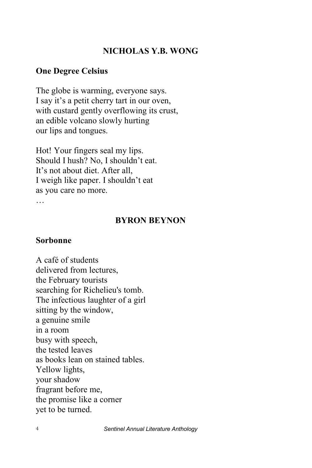#### **NICHOLAS Y.B. WONG**

#### **One Degree Celsius**

The globe is warming, everyone says. I say it's a petit cherry tart in our oven, with custard gently overflowing its crust, an edible volcano slowly hurting our lips and tongues.

Hot! Your fingers seal my lips. Should I hush? No, I shouldn't eat. It's not about diet. After all, I weigh like paper. I shouldn't eat as you care no more.

#### **BYRON BEYNON**

#### **Sorbonne**

A café of students delivered from lectures, the February tourists searching for Richelieu's tomb. The infectious laughter of a girl sitting by the window, a genuine smile in a room busy with speech, the tested leaves as books lean on stained tables. Yellow lights, your shadow fragrant before me, the promise like a corner yet to be turned.

4 *Sentinel Annual Literature Anthology*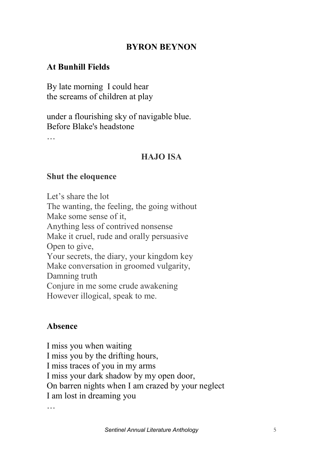#### **BYRON BEYNON**

### **At Bunhill Fields**

By late morning I could hear the screams of children at play

under a flourishing sky of navigable blue. Before Blake's headstone

…

#### **HAJO ISA**

#### **Shut the eloquence**

Let's share the lot The wanting, the feeling, the going without Make some sense of it, Anything less of contrived nonsense Make it cruel, rude and orally persuasive Open to give, Your secrets, the diary, your kingdom key Make conversation in groomed vulgarity, Damning truth Conjure in me some crude awakening However illogical, speak to me.

#### **Absence**

I miss you when waiting I miss you by the drifting hours, I miss traces of you in my arms I miss your dark shadow by my open door, On barren nights when I am crazed by your neglect I am lost in dreaming you

…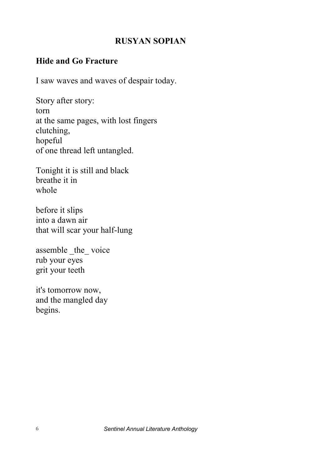## **RUSYAN SOPIAN**

### **Hide and Go Fracture**

I saw waves and waves of despair today.

Story after story: torn at the same pages, with lost fingers clutching, hopeful of one thread left untangled.

Tonight it is still and black breathe it in whole

before it slips into a dawn air that will scar your half-lung

assemble the voice rub your eyes grit your teeth

it's tomorrow now, and the mangled day begins.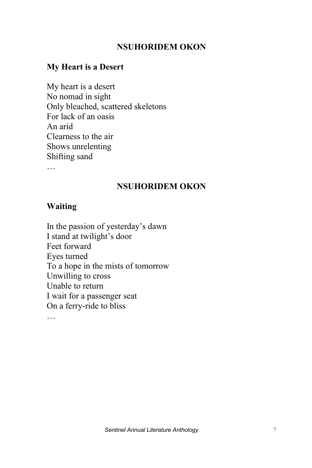#### **NSUHORIDEM OKON**

#### **My Heart is a Desert**

My heart is a desert No nomad in sight Only bleached, scattered skeletons For lack of an oasis An arid Clearness to the air Shows unrelenting Shifting sand

#### **NSUHORIDEM OKON**

#### **Waiting**

In the passion of yesterday's dawn I stand at twilight's door Feet forward Eyes turned To a hope in the mists of tomorrow Unwilling to cross Unable to return I wait for a passenger seat On a ferry-ride to bliss …

**Sentinel Annual Literature Anthology** 7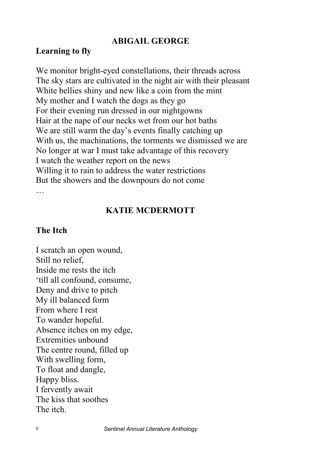#### **ABIGAIL GEORGE**

#### **Learning to fly**

We monitor bright-eyed constellations, their threads across The sky stars are cultivated in the night air with their pleasant White bellies shiny and new like a coin from the mint My mother and I watch the dogs as they go For their evening run dressed in our nightgowns Hair at the nape of our necks wet from our hot baths We are still warm the day's events finally catching up With us, the machinations, the torments we dismissed we are No longer at war I must take advantage of this recovery I watch the weather report on the news Willing it to rain to address the water restrictions But the showers and the downpours do not come …

#### **KATIE MCDERMOTT**

#### **The Itch**

I scratch an open wound, Still no relief Inside me rests the itch 'till all confound, consume, Deny and drive to pitch My ill balanced form From where I rest To wander hopeful. Absence itches on my edge, Extremities unbound The centre round, filled up With swelling form, To float and dangle, Happy bliss. I fervently await The kiss that soothes The itch.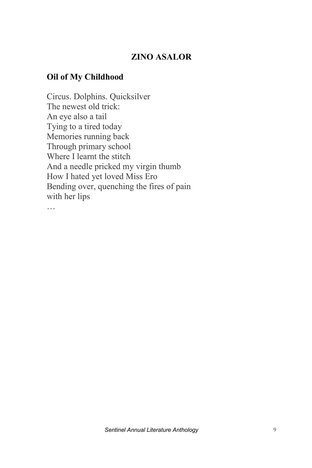# **ZINO ASALOR**

#### **Oil of My Childhood**

Circus. Dolphins. Quicksilver The newest old trick: An eye also a tail Tying to a tired today Memories running back Through primary school Where I learnt the stitch And a needle pricked my virgin thumb How I hated yet loved Miss Ero Bending over, quenching the fires of pain with her lips …

*Sentinel Annual Literature Anthology* 9 - -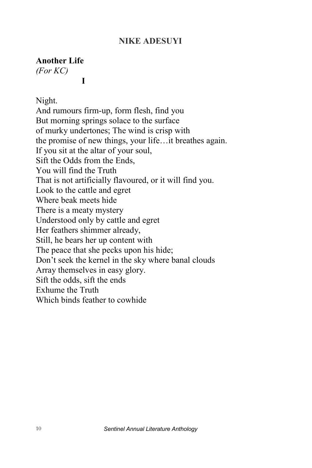#### **NIKE ADESUYI**

#### **Another Life**

*(For KC)* 

**I**

Night.

And rumours firm-up, form flesh, find you But morning springs solace to the surface of murky undertones; The wind is crisp with the promise of new things, your life…it breathes again. If you sit at the altar of your soul, Sift the Odds from the Ends, You will find the Truth That is not artificially flavoured, or it will find you. Look to the cattle and egret Where beak meets hide There is a meaty mystery Understood only by cattle and egret Her feathers shimmer already, Still, he bears her up content with The peace that she pecks upon his hide; Don't seek the kernel in the sky where banal clouds Array themselves in easy glory. Sift the odds, sift the ends Exhume the Truth Which binds feather to cowhide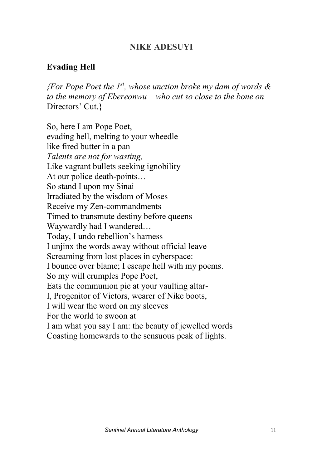#### **NIKE ADESUYI**

## **Evading Hell**

*{For Pope Poet the 1st, whose unction broke my dam of words & to the memory of Ebereonwu – who cut so close to the bone on*  Directors' Cut.}

So, here I am Pope Poet, evading hell, melting to your wheedle like fired butter in a pan *Talents are not for wasting,*  Like vagrant bullets seeking ignobility At our police death-points… So stand I upon my Sinai Irradiated by the wisdom of Moses Receive my Zen-commandments Timed to transmute destiny before queens Waywardly had I wandered… Today, I undo rebellion's harness I unjinx the words away without official leave Screaming from lost places in cyberspace: I bounce over blame; I escape hell with my poems. So my will crumples Pope Poet, Eats the communion pie at your vaulting altar-I, Progenitor of Victors, wearer of Nike boots, I will wear the word on my sleeves For the world to swoon at I am what you say I am: the beauty of jewelled words Coasting homewards to the sensuous peak of lights.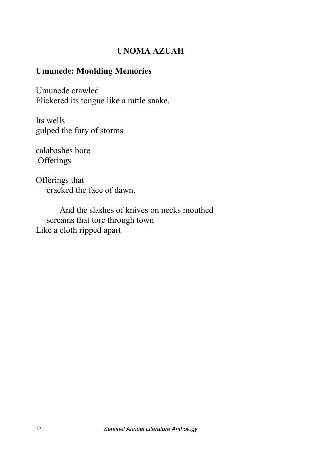## **UNOMA AZUAH**

#### **Umunede: Moulding Memories**

Umunede crawled Flickered its tongue like a rattle snake.

Its wells gulped the fury of storms

calabashes bore **Offerings** 

Offerings that cracked the face of dawn.

And the slashes of knives on necks mouthed screams that tore through town Like a cloth ripped apart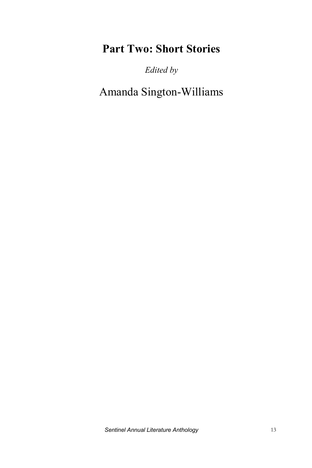# **Part Two: Short Stories**

*Edited by* 

Amanda Sington-Williams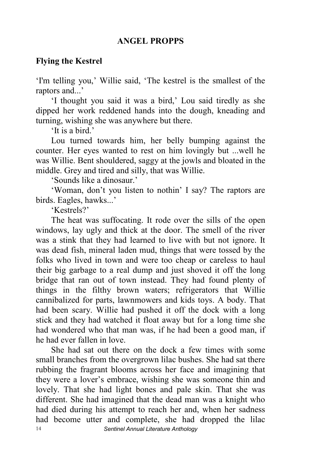#### **ANGEL PROPPS**

#### **Flying the Kestrel**

'I'm telling you,' Willie said, 'The kestrel is the smallest of the raptors and...'

'I thought you said it was a bird,' Lou said tiredly as she dipped her work reddened hands into the dough, kneading and turning, wishing she was anywhere but there.

'It is a bird.'

Lou turned towards him, her belly bumping against the counter. Her eyes wanted to rest on him lovingly but ...well he was Willie. Bent shouldered, saggy at the jowls and bloated in the middle. Grey and tired and silly, that was Willie.

'Sounds like a dinosaur.'

'Woman, don't you listen to nothin' I say? The raptors are birds. Eagles, hawks...'

'Kestrels?'

The heat was suffocating. It rode over the sills of the open windows, lay ugly and thick at the door. The smell of the river was a stink that they had learned to live with but not ignore. It was dead fish, mineral laden mud, things that were tossed by the folks who lived in town and were too cheap or careless to haul their big garbage to a real dump and just shoved it off the long bridge that ran out of town instead. They had found plenty of things in the filthy brown waters; refrigerators that Willie cannibalized for parts, lawnmowers and kids toys. A body. That had been scary. Willie had pushed it off the dock with a long stick and they had watched it float away but for a long time she had wondered who that man was, if he had been a good man, if he had ever fallen in love.

14 *Sentinel Annual Literature Anthology* She had sat out there on the dock a few times with some small branches from the overgrown lilac bushes. She had sat there rubbing the fragrant blooms across her face and imagining that they were a lover's embrace, wishing she was someone thin and lovely. That she had light bones and pale skin. That she was different. She had imagined that the dead man was a knight who had died during his attempt to reach her and, when her sadness had become utter and complete, she had dropped the lilac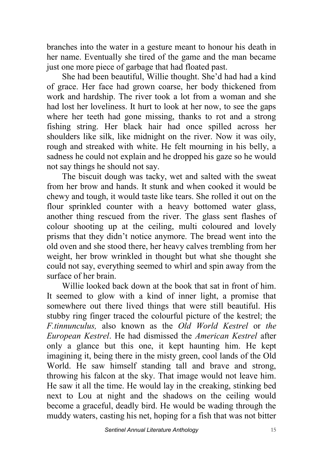branches into the water in a gesture meant to honour his death in her name. Eventually she tired of the game and the man became just one more piece of garbage that had floated past.

She had been beautiful, Willie thought. She'd had had a kind of grace. Her face had grown coarse, her body thickened from work and hardship. The river took a lot from a woman and she had lost her loveliness. It hurt to look at her now, to see the gaps where her teeth had gone missing, thanks to rot and a strong fishing string. Her black hair had once spilled across her shoulders like silk, like midnight on the river. Now it was oily, rough and streaked with white. He felt mourning in his belly, a sadness he could not explain and he dropped his gaze so he would not say things he should not say.

The biscuit dough was tacky, wet and salted with the sweat from her brow and hands. It stunk and when cooked it would be chewy and tough, it would taste like tears. She rolled it out on the flour sprinkled counter with a heavy bottomed water glass, another thing rescued from the river. The glass sent flashes of colour shooting up at the ceiling, multi coloured and lovely prisms that they didn't notice anymore. The bread went into the old oven and she stood there, her heavy calves trembling from her weight, her brow wrinkled in thought but what she thought she could not say, everything seemed to whirl and spin away from the surface of her brain.

Willie looked back down at the book that sat in front of him. It seemed to glow with a kind of inner light, a promise that somewhere out there lived things that were still beautiful. His stubby ring finger traced the colourful picture of the kestrel; the *F.tinnunculus,* also known as the *Old World Kestrel* or *the European Kestrel*. He had dismissed the *American Kestrel* after only a glance but this one, it kept haunting him. He kept imagining it, being there in the misty green, cool lands of the Old World. He saw himself standing tall and brave and strong, throwing his falcon at the sky. That image would not leave him. He saw it all the time. He would lay in the creaking, stinking bed next to Lou at night and the shadows on the ceiling would become a graceful, deadly bird. He would be wading through the muddy waters, casting his net, hoping for a fish that was not bitter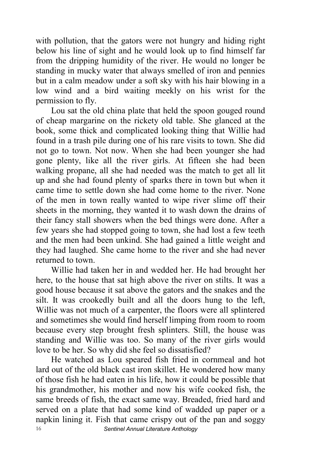with pollution, that the gators were not hungry and hiding right below his line of sight and he would look up to find himself far from the dripping humidity of the river. He would no longer be standing in mucky water that always smelled of iron and pennies but in a calm meadow under a soft sky with his hair blowing in a low wind and a bird waiting meekly on his wrist for the permission to fly.

Lou sat the old china plate that held the spoon gouged round of cheap margarine on the rickety old table. She glanced at the book, some thick and complicated looking thing that Willie had found in a trash pile during one of his rare visits to town. She did not go to town. Not now. When she had been younger she had gone plenty, like all the river girls. At fifteen she had been walking propane, all she had needed was the match to get all lit up and she had found plenty of sparks there in town but when it came time to settle down she had come home to the river. None of the men in town really wanted to wipe river slime off their sheets in the morning, they wanted it to wash down the drains of their fancy stall showers when the bed things were done. After a few years she had stopped going to town, she had lost a few teeth and the men had been unkind. She had gained a little weight and they had laughed. She came home to the river and she had never returned to town.

Willie had taken her in and wedded her. He had brought her here, to the house that sat high above the river on stilts. It was a good house because it sat above the gators and the snakes and the silt. It was crookedly built and all the doors hung to the left, Willie was not much of a carpenter, the floors were all splintered and sometimes she would find herself limping from room to room because every step brought fresh splinters. Still, the house was standing and Willie was too. So many of the river girls would love to be her. So why did she feel so dissatisfied?

16 *Sentinel Annual Literature Anthology* He watched as Lou speared fish fried in cornmeal and hot lard out of the old black cast iron skillet. He wondered how many of those fish he had eaten in his life, how it could be possible that his grandmother, his mother and now his wife cooked fish, the same breeds of fish, the exact same way. Breaded, fried hard and served on a plate that had some kind of wadded up paper or a napkin lining it. Fish that came crispy out of the pan and soggy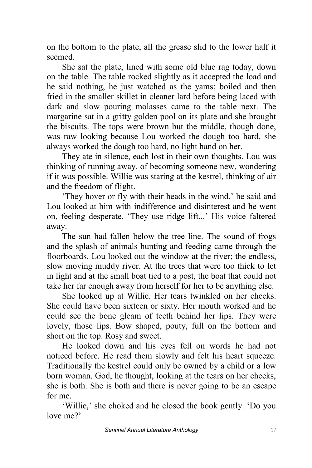on the bottom to the plate, all the grease slid to the lower half it seemed.

She sat the plate, lined with some old blue rag today, down on the table. The table rocked slightly as it accepted the load and he said nothing, he just watched as the yams; boiled and then fried in the smaller skillet in cleaner lard before being laced with dark and slow pouring molasses came to the table next. The margarine sat in a gritty golden pool on its plate and she brought the biscuits. The tops were brown but the middle, though done, was raw looking because Lou worked the dough too hard, she always worked the dough too hard, no light hand on her.

They ate in silence, each lost in their own thoughts. Lou was thinking of running away, of becoming someone new, wondering if it was possible. Willie was staring at the kestrel, thinking of air and the freedom of flight.

'They hover or fly with their heads in the wind,' he said and Lou looked at him with indifference and disinterest and he went on, feeling desperate, 'They use ridge lift...' His voice faltered away.

The sun had fallen below the tree line. The sound of frogs and the splash of animals hunting and feeding came through the floorboards. Lou looked out the window at the river; the endless, slow moving muddy river. At the trees that were too thick to let in light and at the small boat tied to a post, the boat that could not take her far enough away from herself for her to be anything else.

She looked up at Willie. Her tears twinkled on her cheeks. She could have been sixteen or sixty. Her mouth worked and he could see the bone gleam of teeth behind her lips. They were lovely, those lips. Bow shaped, pouty, full on the bottom and short on the top. Rosy and sweet.

He looked down and his eyes fell on words he had not noticed before. He read them slowly and felt his heart squeeze. Traditionally the kestrel could only be owned by a child or a low born woman. God, he thought, looking at the tears on her cheeks, she is both. She is both and there is never going to be an escape for me.

'Willie,' she choked and he closed the book gently. 'Do you love me?'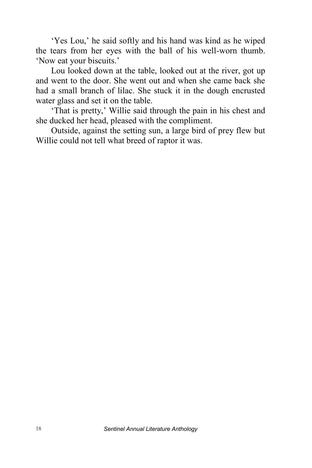'Yes Lou,' he said softly and his hand was kind as he wiped the tears from her eyes with the ball of his well-worn thumb. 'Now eat your biscuits.'

Lou looked down at the table, looked out at the river, got up and went to the door. She went out and when she came back she had a small branch of lilac. She stuck it in the dough encrusted water glass and set it on the table.

'That is pretty,' Willie said through the pain in his chest and she ducked her head, pleased with the compliment.

Outside, against the setting sun, a large bird of prey flew but Willie could not tell what breed of raptor it was.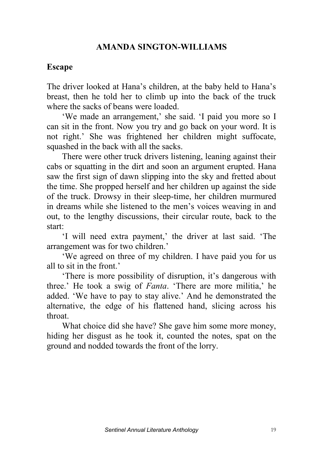### **AMANDA SINGTON-WILLIAMS**

#### **Escape**

The driver looked at Hana's children, at the baby held to Hana's breast, then he told her to climb up into the back of the truck where the sacks of beans were loaded.

'We made an arrangement,' she said. 'I paid you more so I can sit in the front. Now you try and go back on your word. It is not right.' She was frightened her children might suffocate, squashed in the back with all the sacks.

There were other truck drivers listening, leaning against their cabs or squatting in the dirt and soon an argument erupted. Hana saw the first sign of dawn slipping into the sky and fretted about the time. She propped herself and her children up against the side of the truck. Drowsy in their sleep-time, her children murmured in dreams while she listened to the men's voices weaving in and out, to the lengthy discussions, their circular route, back to the start:

'I will need extra payment,' the driver at last said. 'The arrangement was for two children.'

'We agreed on three of my children. I have paid you for us all to sit in the front.'

'There is more possibility of disruption, it's dangerous with three.' He took a swig of *Fanta*. 'There are more militia,' he added. 'We have to pay to stay alive.' And he demonstrated the alternative, the edge of his flattened hand, slicing across his throat.

What choice did she have? She gave him some more money, hiding her disgust as he took it, counted the notes, spat on the ground and nodded towards the front of the lorry.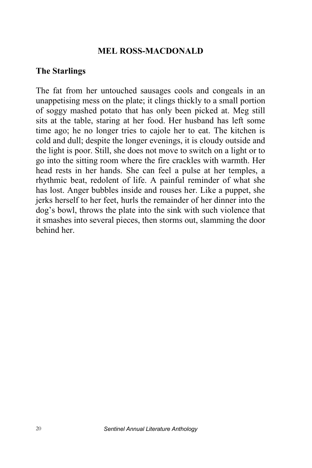#### **MEL ROSS-MACDONALD**

#### **The Starlings**

The fat from her untouched sausages cools and congeals in an unappetising mess on the plate; it clings thickly to a small portion of soggy mashed potato that has only been picked at. Meg still sits at the table, staring at her food. Her husband has left some time ago; he no longer tries to cajole her to eat. The kitchen is cold and dull; despite the longer evenings, it is cloudy outside and the light is poor. Still, she does not move to switch on a light or to go into the sitting room where the fire crackles with warmth. Her head rests in her hands. She can feel a pulse at her temples, a rhythmic beat, redolent of life. A painful reminder of what she has lost. Anger bubbles inside and rouses her. Like a puppet, she jerks herself to her feet, hurls the remainder of her dinner into the dog's bowl, throws the plate into the sink with such violence that it smashes into several pieces, then storms out, slamming the door behind her.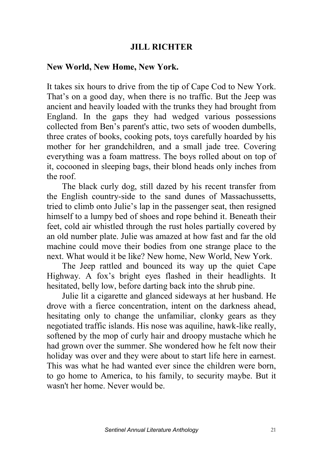#### **JILL RICHTER**

#### **New World, New Home, New York.**

It takes six hours to drive from the tip of Cape Cod to New York. That's on a good day, when there is no traffic. But the Jeep was ancient and heavily loaded with the trunks they had brought from England. In the gaps they had wedged various possessions collected from Ben's parent's attic, two sets of wooden dumbells, three crates of books, cooking pots, toys carefully hoarded by his mother for her grandchildren, and a small jade tree. Covering everything was a foam mattress. The boys rolled about on top of it, cocooned in sleeping bags, their blond heads only inches from the roof.

The black curly dog, still dazed by his recent transfer from the English country-side to the sand dunes of Massachussetts, tried to climb onto Julie's lap in the passenger seat, then resigned himself to a lumpy bed of shoes and rope behind it. Beneath their feet, cold air whistled through the rust holes partially covered by an old number plate. Julie was amazed at how fast and far the old machine could move their bodies from one strange place to the next. What would it be like? New home, New World, New York.

The Jeep rattled and bounced its way up the quiet Cape Highway. A fox's bright eyes flashed in their headlights. It hesitated, belly low, before darting back into the shrub pine.

Julie lit a cigarette and glanced sideways at her husband. He drove with a fierce concentration, intent on the darkness ahead, hesitating only to change the unfamiliar, clonky gears as they negotiated traffic islands. His nose was aquiline, hawk-like really, softened by the mop of curly hair and droopy mustache which he had grown over the summer. She wondered how he felt now their holiday was over and they were about to start life here in earnest. This was what he had wanted ever since the children were born, to go home to America, to his family, to security maybe. But it wasn't her home. Never would be.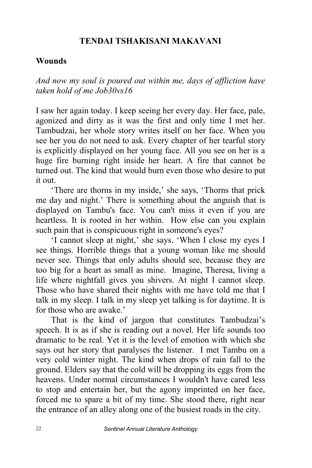#### **TENDAI TSHAKISANI MAKAVANI**

#### **Wounds**

*And now my soul is poured out within me, days of affliction have taken hold of me Job30vs16*

I saw her again today. I keep seeing her every day. Her face, pale, agonized and dirty as it was the first and only time I met her. Tambudzai, her whole story writes itself on her face. When you see her you do not need to ask. Every chapter of her tearful story is explicitly displayed on her young face. All you see on her is a huge fire burning right inside her heart. A fire that cannot be turned out. The kind that would burn even those who desire to put it out.

 'There are thorns in my inside,' she says, 'Thorns that prick me day and night.' There is something about the anguish that is displayed on Tambu's face. You can't miss it even if you are heartless. It is rooted in her within. How else can you explain such pain that is conspicuous right in someone's eyes?

'I cannot sleep at night,' she says. 'When I close my eyes I see things. Horrible things that a young woman like me should never see. Things that only adults should see, because they are too big for a heart as small as mine. Imagine, Theresa, living a life where nightfall gives you shivers. At night I cannot sleep. Those who have shared their nights with me have told me that I talk in my sleep. I talk in my sleep yet talking is for daytime. It is for those who are awake.

That is the kind of jargon that constitutes Tambudzai's speech. It is as if she is reading out a novel. Her life sounds too dramatic to be real. Yet it is the level of emotion with which she says out her story that paralyses the listener. I met Tambu on a very cold winter night. The kind when drops of rain fall to the ground. Elders say that the cold will be dropping its eggs from the heavens. Under normal circumstances I wouldn't have cared less to stop and entertain her, but the agony imprinted on her face, forced me to spare a bit of my time. She stood there, right near the entrance of an alley along one of the busiest roads in the city.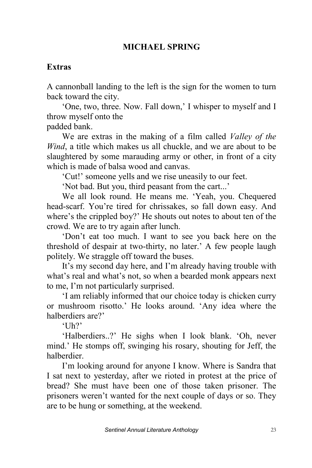### **MICHAEL SPRING**

### **Extras**

A cannonball landing to the left is the sign for the women to turn back toward the city.

'One, two, three. Now. Fall down,' I whisper to myself and I throw myself onto the padded bank.

We are extras in the making of a film called *Valley of the Wind*, a title which makes us all chuckle, and we are about to be slaughtered by some marauding army or other, in front of a city which is made of balsa wood and canvas.

'Cut!' someone yells and we rise uneasily to our feet.

'Not bad. But you, third peasant from the cart...'

We all look round. He means me. 'Yeah, you. Chequered head-scarf. You're tired for chrissakes, so fall down easy. And where's the crippled boy?' He shouts out notes to about ten of the crowd. We are to try again after lunch.

'Don't eat too much. I want to see you back here on the threshold of despair at two-thirty, no later.' A few people laugh politely. We straggle off toward the buses.

It's my second day here, and I'm already having trouble with what's real and what's not, so when a bearded monk appears next to me, I'm not particularly surprised.

'I am reliably informed that our choice today is chicken curry or mushroom risotto.' He looks around. 'Any idea where the halberdiers are?'

 $^{\circ}$ Uh?'

'Halberdiers..?' He sighs when I look blank. 'Oh, never mind.' He stomps off, swinging his rosary, shouting for Jeff, the halberdier.

I'm looking around for anyone I know. Where is Sandra that I sat next to yesterday, after we rioted in protest at the price of bread? She must have been one of those taken prisoner. The prisoners weren't wanted for the next couple of days or so. They are to be hung or something, at the weekend.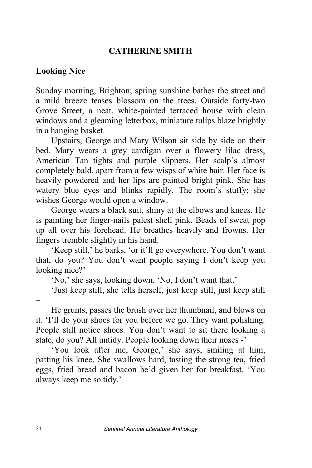#### **CATHERINE SMITH**

#### **Looking Nice**

Sunday morning, Brighton; spring sunshine bathes the street and a mild breeze teases blossom on the trees. Outside forty-two Grove Street, a neat, white-painted terraced house with clean windows and a gleaming letterbox, miniature tulips blaze brightly in a hanging basket.

Upstairs, George and Mary Wilson sit side by side on their bed. Mary wears a grey cardigan over a flowery lilac dress, American Tan tights and purple slippers. Her scalp's almost completely bald, apart from a few wisps of white hair. Her face is heavily powdered and her lips are painted bright pink. She has watery blue eyes and blinks rapidly. The room's stuffy; she wishes George would open a window.

George wears a black suit, shiny at the elbows and knees. He is painting her finger-nails palest shell pink. Beads of sweat pop up all over his forehead. He breathes heavily and frowns. Her fingers tremble slightly in his hand.

'Keep still,' he barks, 'or it'll go everywhere. You don't want that, do you? You don't want people saying I don't keep you looking nice?'

'No,' she says, looking down. 'No, I don't want that.'

'Just keep still, she tells herself, just keep still, just keep still

–

He grunts, passes the brush over her thumbnail, and blows on it. 'I'll do your shoes for you before we go. They want polishing. People still notice shoes. You don't want to sit there looking a state, do you? All untidy. People looking down their noses -'

'You look after me, George,' she says, smiling at him, patting his knee. She swallows hard, tasting the strong tea, fried eggs, fried bread and bacon he'd given her for breakfast. 'You always keep me so tidy.'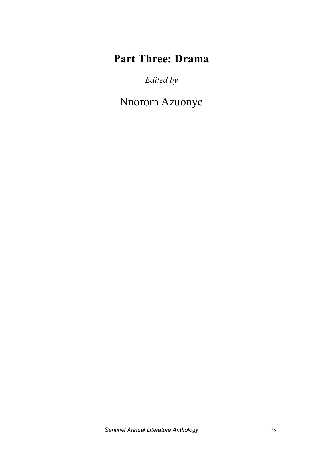# **Part Three: Drama**

*Edited by* 

Nnorom Azuonye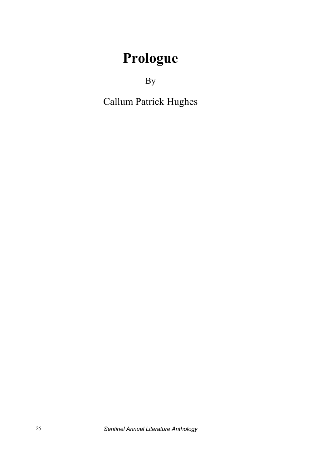# **Prologue**

By

Callum Patrick Hughes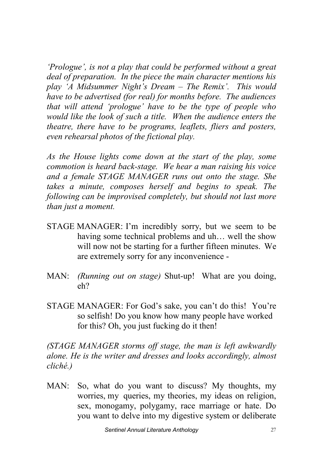*'Prologue', is not a play that could be performed without a great deal of preparation. In the piece the main character mentions his play 'A Midsummer Night's Dream – The Remix'. This would have to be advertised (for real) for months before. The audiences that will attend 'prologue' have to be the type of people who would like the look of such a title. When the audience enters the theatre, there have to be programs, leaflets, fliers and posters, even rehearsal photos of the fictional play.* 

*As the House lights come down at the start of the play, some commotion is heard back-stage. We hear a man raising his voice and a female STAGE MANAGER runs out onto the stage. She takes a minute, composes herself and begins to speak. The following can be improvised completely, but should not last more than just a moment.* 

- STAGE MANAGER: I'm incredibly sorry, but we seem to be having some technical problems and uh… well the show will now not be starting for a further fifteen minutes. We are extremely sorry for any inconvenience -
- MAN: *(Running out on stage)* Shut-up! What are you doing, eh?
- STAGE MANAGER: For God's sake, you can't do this! You're so selfish! Do you know how many people have worked for this? Oh, you just fucking do it then!

*(STAGE MANAGER storms off stage, the man is left awkwardly alone. He is the writer and dresses and looks accordingly, almost cliché.)*

MAN: So, what do you want to discuss? My thoughts, my worries, my queries, my theories, my ideas on religion, sex, monogamy, polygamy, race marriage or hate. Do you want to delve into my digestive system or deliberate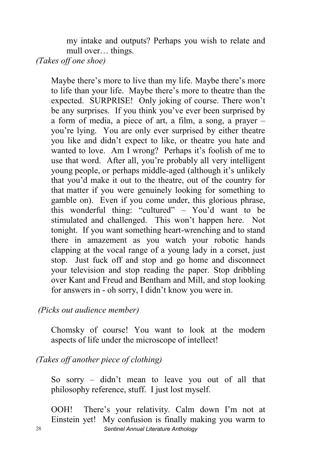my intake and outputs? Perhaps you wish to relate and mull over… things.

*(Takes off one shoe)* 

Maybe there's more to live than my life. Maybe there's more to life than your life. Maybe there's more to theatre than the expected. SURPRISE! Only joking of course. There won't be any surprises. If you think you've ever been surprised by a form of media, a piece of art, a film, a song, a prayer – you're lying. You are only ever surprised by either theatre you like and didn't expect to like, or theatre you hate and wanted to love. Am I wrong? Perhaps it's foolish of me to use that word. After all, you're probably all very intelligent young people, or perhaps middle-aged (although it's unlikely that you'd make it out to the theatre, out of the country for that matter if you were genuinely looking for something to gamble on). Even if you come under, this glorious phrase, this wonderful thing: "cultured" – You'd want to be stimulated and challenged. This won't happen here. Not tonight. If you want something heart-wrenching and to stand there in amazement as you watch your robotic hands clapping at the vocal range of a young lady in a corset, just stop. Just fuck off and stop and go home and disconnect your television and stop reading the paper. Stop dribbling over Kant and Freud and Bentham and Mill, and stop looking for answers in - oh sorry, I didn't know you were in.

*(Picks out audience member)* 

Chomsky of course! You want to look at the modern aspects of life under the microscope of intellect!

*(Takes off another piece of clothing)* 

So sorry – didn't mean to leave you out of all that philosophy reference, stuff. I just lost myself.

28 *Sentinel Annual Literature Anthology* OOH! There's your relativity. Calm down I'm not at Einstein yet! My confusion is finally making you warm to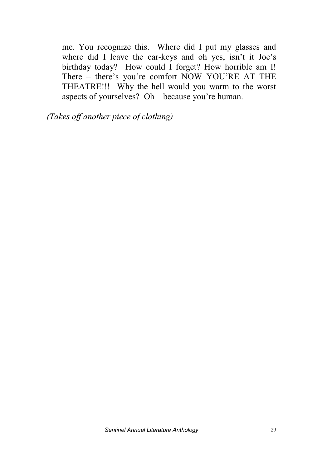me. You recognize this. Where did I put my glasses and where did I leave the car-keys and oh yes, isn't it Joe's birthday today? How could I forget? How horrible am I! There – there's you're comfort NOW YOU'RE AT THE THEATRE!!! Why the hell would you warm to the worst aspects of yourselves? Oh – because you're human.

*(Takes off another piece of clothing)*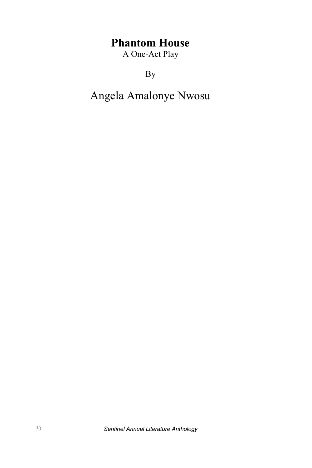# **Phantom House**

A One-Act Play

By

# Angela Amalonye Nwosu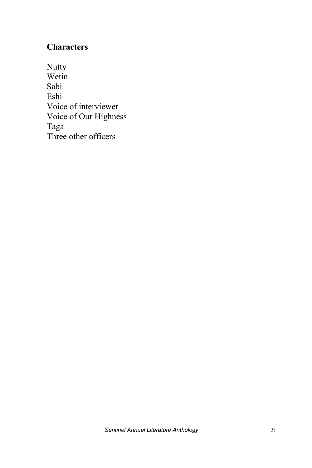# **Characters**

**Nutty** Wetin Sabi Eshi Voice of interviewer Voice of Our Highness Taga Three other officers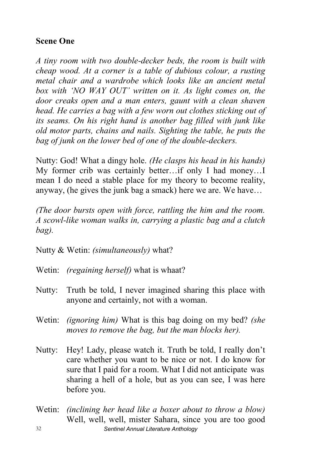#### **Scene One**

*A tiny room with two double-decker beds, the room is built with cheap wood. At a corner is a table of dubious colour, a rusting metal chair and a wardrobe which looks like an ancient metal box with 'NO WAY OUT' written on it. As light comes on, the door creaks open and a man enters, gaunt with a clean shaven head. He carries a bag with a few worn out clothes sticking out of its seams. On his right hand is another bag filled with junk like old motor parts, chains and nails. Sighting the table, he puts the bag of junk on the lower bed of one of the double-deckers.*

Nutty: God! What a dingy hole. *(He clasps his head in his hands)* My former crib was certainly better…if only I had money…I mean I do need a stable place for my theory to become reality, anyway, (he gives the junk bag a smack) here we are. We have…

*(The door bursts open with force, rattling the him and the room. A scowl-like woman walks in, carrying a plastic bag and a clutch bag).*

Nutty & Wetin: *(simultaneously)* what?

- Wetin: *(regaining herself)* what is whaat?
- Nutty: Truth be told, I never imagined sharing this place with anyone and certainly, not with a woman.
- Wetin: *(ignoring him)* What is this bag doing on my bed? *(she moves to remove the bag, but the man blocks her).*
- Nutty: Hey! Lady, please watch it. Truth be told, I really don't care whether you want to be nice or not. I do know for sure that I paid for a room. What I did not anticipate was sharing a hell of a hole, but as you can see, I was here before you.
- 32 *Sentinel Annual Literature Anthology* Wetin: *(inclining her head like a boxer about to throw a blow)* Well, well, well, mister Sahara, since you are too good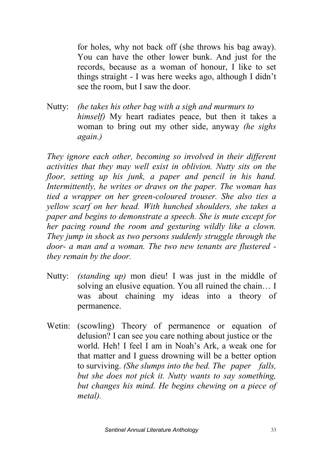for holes, why not back off (she throws his bag away). You can have the other lower bunk. And just for the records, because as a woman of honour, I like to set things straight - I was here weeks ago, although I didn't see the room, but I saw the door.

Nutty: *(he takes his other bag with a sigh and murmurs to himself)* My heart radiates peace, but then it takes a woman to bring out my other side, anyway *(he sighs again.)* 

*They ignore each other, becoming so involved in their different activities that they may well exist in oblivion. Nutty sits on the floor, setting up his junk, a paper and pencil in his hand. Intermittently, he writes or draws on the paper. The woman has tied a wrapper on her green-coloured trouser. She also ties a yellow scarf on her head. With hunched shoulders, she takes a paper and begins to demonstrate a speech. She is mute except for her pacing round the room and gesturing wildly like a clown. They jump in shock as two persons suddenly struggle through the door- a man and a woman. The two new tenants are flustered they remain by the door.*

- Nutty: *(standing up)* mon dieu! I was just in the middle of solving an elusive equation. You all ruined the chain… I was about chaining my ideas into a theory of permanence.
- Wetin: (scowling) Theory of permanence or equation of delusion? I can see you care nothing about justice or the world. Heh! I feel I am in Noah's Ark, a weak one for that matter and I guess drowning will be a better option to surviving. *(She slumps into the bed. The paper falls, but she does not pick it. Nutty wants to say something, but changes his mind. He begins chewing on a piece of metal).*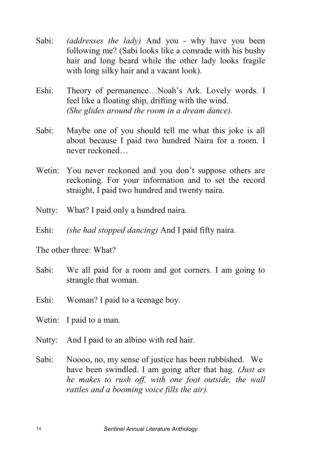- Sabi: *(addresses the lady)* And you why have you been following me? (Sabi looks like a comrade with his bushy hair and long beard while the other lady looks fragile with long silky hair and a vacant look).
- Eshi: Theory of permanence…Noah's Ark. Lovely words. I feel like a floating ship, drifting with the wind. *(She glides around the room in a dream dance).*
- Sabi: Maybe one of you should tell me what this joke is all about because I paid two hundred Naira for a room. I never reckoned…
- Wetin: You never reckoned and you don't suppose others are reckoning. For your information and to set the record straight, I paid two hundred and twenty naira.
- Nutty: What? I paid only a hundred naira.
- Eshi: *(she had stopped dancing)* And I paid fifty naira.

The other three: What?

- Sabi: We all paid for a room and got corners. I am going to strangle that woman.
- Eshi: Woman? I paid to a teenage boy.
- Wetin: I paid to a man.
- Nutty: And I paid to an albino with red hair.
- Sabi: Noooo, no, my sense of justice has been rubbished. We have been swindled. I am going after that hag*. (Just as he makes to rush off, with one foot outside, the wall rattles and a booming voice fills the air).*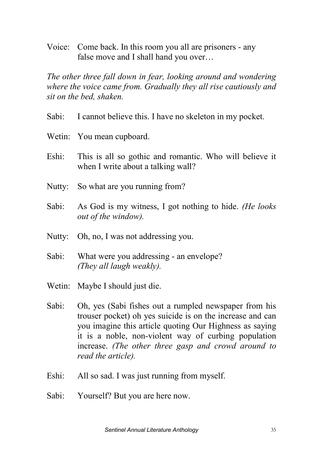Voice: Come back. In this room you all are prisoners - any false move and I shall hand you over…

*The other three fall down in fear, looking around and wondering where the voice came from. Gradually they all rise cautiously and sit on the bed, shaken.*

- Sabi: I cannot believe this. I have no skeleton in my pocket.
- Wetin: You mean cupboard.
- Eshi: This is all so gothic and romantic. Who will believe it when I write about a talking wall?
- Nutty: So what are you running from?
- Sabi: As God is my witness, I got nothing to hide. *(He looks out of the window).*
- Nutty: Oh, no, I was not addressing you.
- Sabi: What were you addressing an envelope? *(They all laugh weakly).*
- Wetin: Maybe I should just die.
- Sabi: Oh, yes (Sabi fishes out a rumpled newspaper from his trouser pocket) oh yes suicide is on the increase and can you imagine this article quoting Our Highness as saying it is a noble, non-violent way of curbing population increase. *(The other three gasp and crowd around to read the article).*
- Eshi: All so sad. I was just running from myself.
- Sabi: Yourself? But you are here now.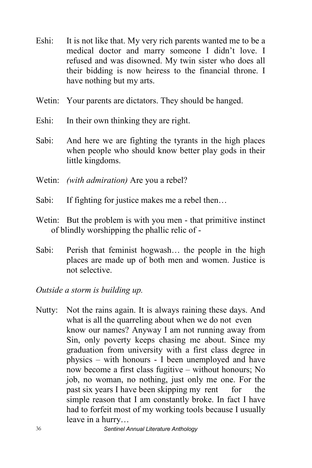- Eshi: It is not like that. My very rich parents wanted me to be a medical doctor and marry someone I didn't love. I refused and was disowned. My twin sister who does all their bidding is now heiress to the financial throne. I have nothing but my arts.
- Wetin: Your parents are dictators. They should be hanged.
- Eshi: In their own thinking they are right.
- Sabi: And here we are fighting the tyrants in the high places when people who should know better play gods in their little kingdoms.
- Wetin: *(with admiration)* Are you a rebel?
- Sabi: If fighting for justice makes me a rebel then...
- Wetin: But the problem is with you men that primitive instinct of blindly worshipping the phallic relic of -
- Sabi: Perish that feminist hogwash... the people in the high places are made up of both men and women. Justice is not selective.

*Outside a storm is building up.*

Nutty: Not the rains again. It is always raining these days. And what is all the quarreling about when we do not even know our names? Anyway I am not running away from Sin, only poverty keeps chasing me about. Since my graduation from university with a first class degree in physics – with honours - I been unemployed and have now become a first class fugitive – without honours; No job, no woman, no nothing, just only me one. For the past six years I have been skipping my rent for the simple reason that I am constantly broke. In fact I have had to forfeit most of my working tools because I usually leave in a hurry…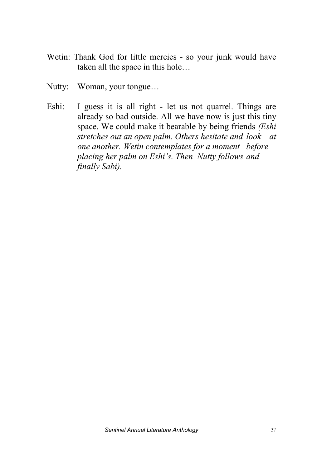- Wetin: Thank God for little mercies so your junk would have taken all the space in this hole…
- Nutty: Woman, your tongue…
- Eshi: I guess it is all right let us not quarrel. Things are already so bad outside. All we have now is just this tiny space. We could make it bearable by being friends *(Eshi stretches out an open palm. Others hesitate and look at one another. Wetin contemplates for a moment before placing her palm on Eshi's. Then Nutty follows and finally Sabi).*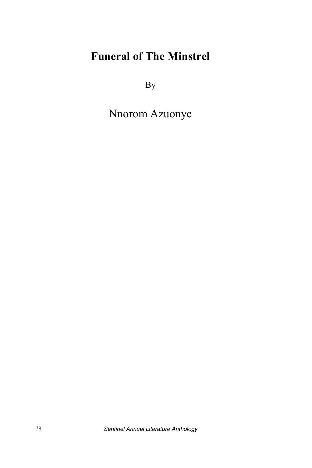# **Funeral of The Minstrel**

By

Nnorom Azuonye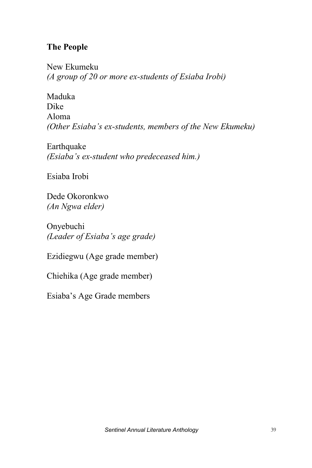# **The People**

New Ekumeku *(A group of 20 or more ex-students of Esiaba Irobi)*

Maduka Dike Aloma *(Other Esiaba's ex-students, members of the New Ekumeku)*

Earthquake *(Esiaba's ex-student who predeceased him.)*

Esiaba Irobi

Dede Okoronkwo *(An Ngwa elder)*

Onyebuchi *(Leader of Esiaba's age grade)*

Ezidiegwu (Age grade member)

Chiehika (Age grade member)

Esiaba's Age Grade members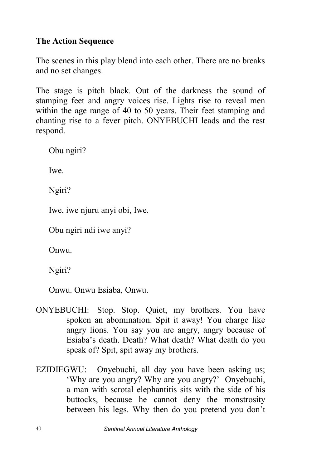## **The Action Sequence**

The scenes in this play blend into each other. There are no breaks and no set changes.

The stage is pitch black. Out of the darkness the sound of stamping feet and angry voices rise. Lights rise to reveal men within the age range of 40 to 50 years. Their feet stamping and chanting rise to a fever pitch. ONYEBUCHI leads and the rest respond.

Obu ngiri?

Iwe.

Ngiri?

Iwe, iwe njuru anyi obi, Iwe.

Obu ngiri ndi iwe anyi?

Onwu.

Ngiri?

Onwu. Onwu Esiaba, Onwu.

- ONYEBUCHI: Stop. Stop. Quiet, my brothers. You have spoken an abomination. Spit it away! You charge like angry lions. You say you are angry, angry because of Esiaba's death. Death? What death? What death do you speak of? Spit, spit away my brothers.
- EZIDIEGWU: Onyebuchi, all day you have been asking us; 'Why are you angry? Why are you angry?' Onyebuchi, a man with scrotal elephantitis sits with the side of his buttocks, because he cannot deny the monstrosity between his legs. Why then do you pretend you don't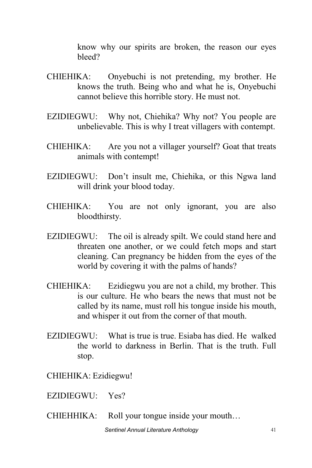know why our spirits are broken, the reason our eyes bleed?

- CHIEHIKA: Onyebuchi is not pretending, my brother. He knows the truth. Being who and what he is, Onyebuchi cannot believe this horrible story. He must not.
- EZIDIEGWU: Why not, Chiehika? Why not? You people are unbelievable. This is why I treat villagers with contempt.
- CHIEHIKA: Are you not a villager yourself? Goat that treats animals with contempt!
- EZIDIEGWU: Don't insult me, Chiehika, or this Ngwa land will drink your blood today.
- CHIEHIKA: You are not only ignorant, you are also bloodthirsty.
- EZIDIEGWU: The oil is already spilt. We could stand here and threaten one another, or we could fetch mops and start cleaning. Can pregnancy be hidden from the eyes of the world by covering it with the palms of hands?
- CHIEHIKA: Ezidiegwu you are not a child, my brother. This is our culture. He who bears the news that must not be called by its name, must roll his tongue inside his mouth, and whisper it out from the corner of that mouth.
- EZIDIEGWU: What is true is true. Esiaba has died. He walked. the world to darkness in Berlin. That is the truth. Full stop.

CHIEHIKA: Ezidiegwu!

- EZIDIEGWU: Yes?
- CHIEHHIKA: Roll your tongue inside your mouth…

**Sentinel Annual Literature Anthology** 41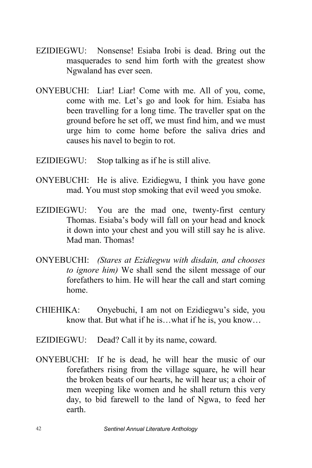- EZIDIEGWU: Nonsense! Esiaba Irobi is dead. Bring out the masquerades to send him forth with the greatest show Ngwaland has ever seen.
- ONYEBUCHI: Liar! Liar! Come with me. All of you, come, come with me. Let's go and look for him. Esiaba has been travelling for a long time. The traveller spat on the ground before he set off, we must find him, and we must urge him to come home before the saliva dries and causes his navel to begin to rot.
- EZIDIEGWU: Stop talking as if he is still alive.
- ONYEBUCHI: He is alive. Ezidiegwu, I think you have gone mad. You must stop smoking that evil weed you smoke.
- EZIDIEGWU: You are the mad one, twenty-first century Thomas. Esiaba's body will fall on your head and knock it down into your chest and you will still say he is alive. Mad man. Thomas!
- ONYEBUCHI: *(Stares at Ezidiegwu with disdain, and chooses to ignore him)* We shall send the silent message of our forefathers to him. He will hear the call and start coming home.
- CHIEHIKA: Onyebuchi, I am not on Ezidiegwu's side, you know that. But what if he is…what if he is, you know…
- EZIDIEGWU: Dead? Call it by its name, coward.
- ONYEBUCHI: If he is dead, he will hear the music of our forefathers rising from the village square, he will hear the broken beats of our hearts, he will hear us; a choir of men weeping like women and he shall return this very day, to bid farewell to the land of Ngwa, to feed her earth.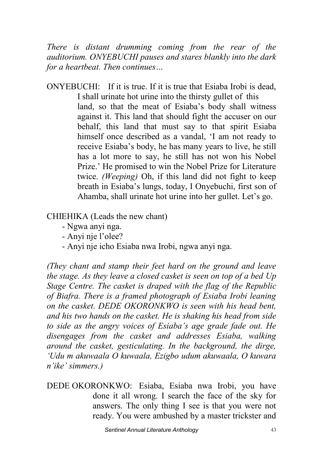*There is distant drumming coming from the rear of the auditorium. ONYEBUCHI pauses and stares blankly into the dark for a heartbeat. Then continues…*

 $ONYERUCHI:$  If it is true. If it is true that Esiaba Irobi is dead I shall urinate hot urine into the thirsty gullet of this land, so that the meat of Esiaba's body shall witness against it. This land that should fight the accuser on our behalf, this land that must say to that spirit Esiaba himself once described as a vandal, 'I am not ready to receive Esiaba's body, he has many years to live, he still has a lot more to say, he still has not won his Nobel Prize.' He promised to win the Nobel Prize for Literature twice. *(Weeping)* Oh, if this land did not fight to keep breath in Esiaba's lungs, today, I Onyebuchi, first son of Ahamba, shall urinate hot urine into her gullet. Let's go.

CHIEHIKA (Leads the new chant)

- Ngwa anyi nga.
- Anyi nje l'olee?
- Anyi nje icho Esiaba nwa Irobi, ngwa anyi nga.

*(They chant and stamp their feet hard on the ground and leave the stage. As they leave a closed casket is seen on top of a bed Up Stage Centre. The casket is draped with the flag of the Republic of Biafra. There is a framed photograph of Esiaba Irobi leaning on the casket. DEDE OKORONKWO is seen with his head bent, and his two hands on the casket. He is shaking his head from side to side as the angry voices of Esiaba's age grade fade out. He disengages from the casket and addresses Esiaba, walking around the casket, gesticulating. In the background, the dirge, 'Udu m akuwaala O kuwaala, Ezigbo udum akuwaala, O kuwara n'ike' simmers.)*

DEDE OKORONKWO: Esiaba, Esiaba nwa Irobi, you have done it all wrong. I search the face of the sky for answers. The only thing I see is that you were not ready. You were ambushed by a master trickster and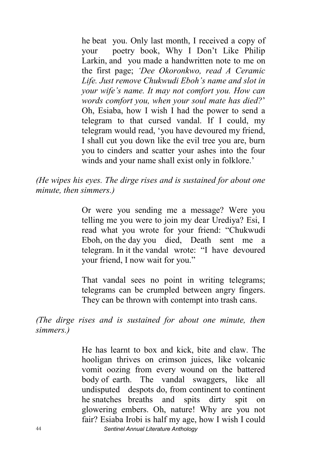he beat you. Only last month, I received a copy of your poetry book, Why I Don't Like Philip Larkin, and you made a handwritten note to me on the first page; *'Dee Okoronkwo, read A Ceramic Life. Just remove Chukwudi Eboh's name and slot in your wife's name. It may not comfort you. How can words comfort you, when your soul mate has died?*' Oh, Esiaba, how I wish I had the power to send a telegram to that cursed vandal. If I could, my telegram would read, 'you have devoured my friend, I shall cut you down like the evil tree you are, burn you to cinders and scatter your ashes into the four winds and your name shall exist only in folklore.'

*(He wipes his eyes. The dirge rises and is sustained for about one minute, then simmers.)*

> Or were you sending me a message? Were you telling me you were to join my dear Urediya? Esi, I read what you wrote for your friend: "Chukwudi Eboh, on the day you died, Death sent me a telegram. In it the vandal wrote: "I have devoured your friend, I now wait for you."

> That vandal sees no point in writing telegrams; telegrams can be crumpled between angry fingers. They can be thrown with contempt into trash cans.

*(The dirge rises and is sustained for about one minute, then simmers.)* 

44 *Sentinel Annual Literature Anthology* He has learnt to box and kick, bite and claw. The hooligan thrives on crimson juices, like volcanic vomit oozing from every wound on the battered body of earth. The vandal swaggers, like all undisputed despots do, from continent to continent he snatches breaths and spits dirty spit on glowering embers. Oh, nature! Why are you not fair? Esiaba Irobi is half my age, how I wish I could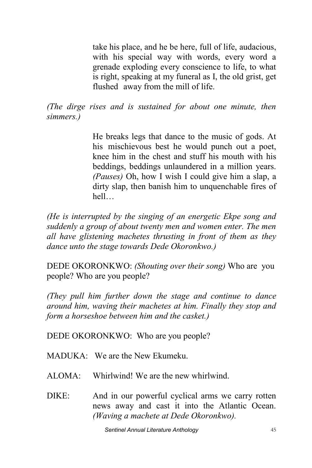take his place, and he be here, full of life, audacious, with his special way with words, every word a grenade exploding every conscience to life, to what is right, speaking at my funeral as I, the old grist, get flushed away from the mill of life.

*(The dirge rises and is sustained for about one minute, then simmers.)* 

> He breaks legs that dance to the music of gods. At his mischievous best he would punch out a poet, knee him in the chest and stuff his mouth with his beddings, beddings unlaundered in a million years. *(Pauses)* Oh, how I wish I could give him a slap, a dirty slap, then banish him to unquenchable fires of hell…

*(He is interrupted by the singing of an energetic Ekpe song and suddenly a group of about twenty men and women enter. The men all have glistening machetes thrusting in front of them as they dance unto the stage towards Dede Okoronkwo.)*

DEDE OKORONKWO: *(Shouting over their song)* Who are you people? Who are you people?

*(They pull him further down the stage and continue to dance around him, waving their machetes at him. Finally they stop and form a horseshoe between him and the casket.)*

DEDE OKORONKWO: Who are you people?

MADUKA: We are the New Ekumeku.

 $ALOMA$ : Whirlwind! We are the new whirlwind.

DIKE: And in our powerful cyclical arms we carry rotten news away and cast it into the Atlantic Ocean. *(Waving a machete at Dede Okoronkwo).*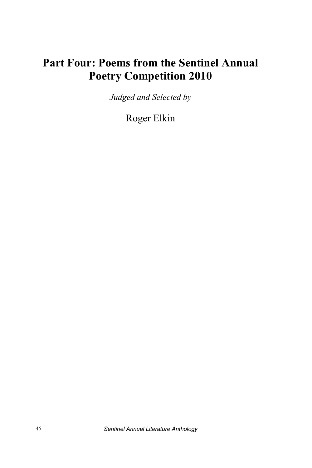# **Part Four: Poems from the Sentinel Annual Poetry Competition 2010**

*Judged and Selected by* 

Roger Elkin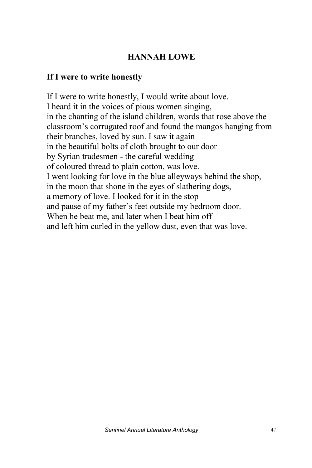# **HANNAH LOWE**

#### **If I were to write honestly**

If I were to write honestly, I would write about love. I heard it in the voices of pious women singing, in the chanting of the island children, words that rose above the classroom's corrugated roof and found the mangos hanging from their branches, loved by sun. I saw it again in the beautiful bolts of cloth brought to our door by Syrian tradesmen - the careful wedding of coloured thread to plain cotton, was love. I went looking for love in the blue alleyways behind the shop, in the moon that shone in the eyes of slathering dogs, a memory of love. I looked for it in the stop and pause of my father's feet outside my bedroom door. When he beat me, and later when I beat him off and left him curled in the yellow dust, even that was love.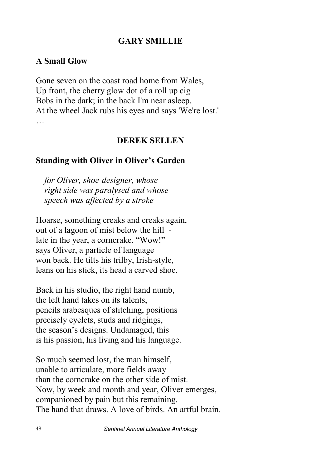#### **GARY SMILLIE**

#### **A Small Glow**

Gone seven on the coast road home from Wales, Up front, the cherry glow dot of a roll up cig Bobs in the dark; in the back I'm near asleep. At the wheel Jack rubs his eyes and says 'We're lost.' …

#### **DEREK SELLEN**

#### **Standing with Oliver in Oliver's Garden**

 *for Oliver, shoe-designer, whose right side was paralysed and whose speech was affected by a stroke* 

Hoarse, something creaks and creaks again, out of a lagoon of mist below the hill late in the year, a corncrake. "Wow!" says Oliver, a particle of language won back. He tilts his trilby, Irish-style, leans on his stick, its head a carved shoe.

Back in his studio, the right hand numb, the left hand takes on its talents, pencils arabesques of stitching, positions precisely eyelets, studs and ridgings, the season's designs. Undamaged, this is his passion, his living and his language.

So much seemed lost, the man himself, unable to articulate, more fields away than the corncrake on the other side of mist. Now, by week and month and year, Oliver emerges, companioned by pain but this remaining. The hand that draws. A love of birds. An artful brain.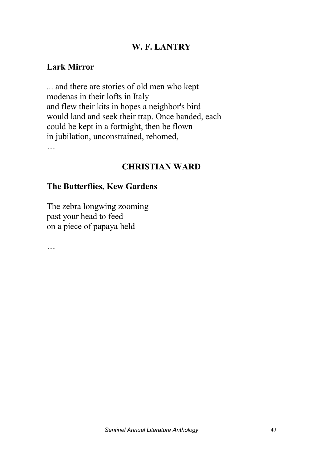#### **W. F. LANTRY**

#### **Lark Mirror**

... and there are stories of old men who kept modenas in their lofts in Italy and flew their kits in hopes a neighbor's bird would land and seek their trap. Once banded, each could be kept in a fortnight, then be flown in jubilation, unconstrained, rehomed, …

#### **CHRISTIAN WARD**

#### **The Butterflies, Kew Gardens**

The zebra longwing zooming past your head to feed on a piece of papaya held

…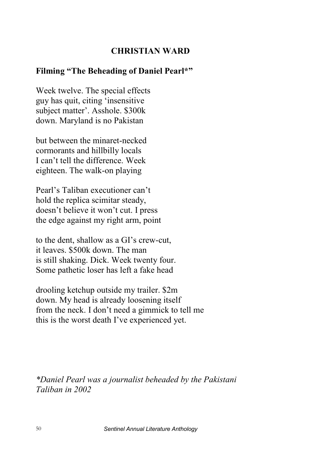#### **CHRISTIAN WARD**

#### **Filming "The Beheading of Daniel Pearl\*"**

Week twelve. The special effects guy has quit, citing 'insensitive subject matter'. Asshole. \$300k down. Maryland is no Pakistan

but between the minaret-necked cormorants and hillbilly locals I can't tell the difference. Week eighteen. The walk-on playing

Pearl's Taliban executioner can't hold the replica scimitar steady, doesn't believe it won't cut. I press the edge against my right arm, point

to the dent, shallow as a GI's crew-cut, it leaves. \$500k down. The man is still shaking. Dick. Week twenty four. Some pathetic loser has left a fake head

drooling ketchup outside my trailer. \$2m down. My head is already loosening itself from the neck. I don't need a gimmick to tell me this is the worst death I've experienced yet.

*\*Daniel Pearl was a journalist beheaded by the Pakistani Taliban in 2002*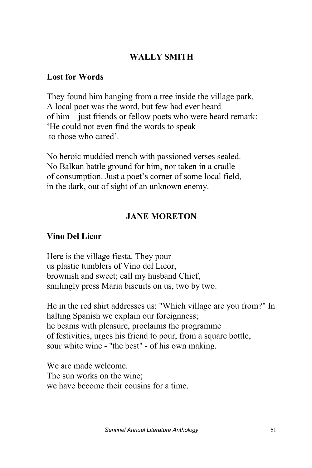# **WALLY SMITH**

#### **Lost for Words**

They found him hanging from a tree inside the village park. A local poet was the word, but few had ever heard of him – just friends or fellow poets who were heard remark: 'He could not even find the words to speak to those who cared'.

No heroic muddied trench with passioned verses sealed. No Balkan battle ground for him, nor taken in a cradle of consumption. Just a poet's corner of some local field, in the dark, out of sight of an unknown enemy.

## **JANE MORETON**

### **Vino Del Licor**

Here is the village fiesta. They pour us plastic tumblers of Vino del Licor, brownish and sweet; call my husband Chief, smilingly press Maria biscuits on us, two by two.

He in the red shirt addresses us: "Which village are you from?" In halting Spanish we explain our foreignness; he beams with pleasure, proclaims the programme of festivities, urges his friend to pour, from a square bottle, sour white wine - ''the best" - of his own making.

We are made welcome. The sun works on the wine; we have become their cousins for a time.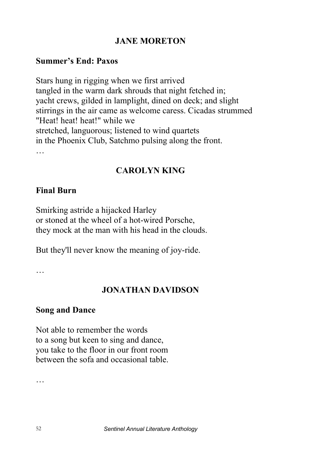### **JANE MORETON**

#### **Summer's End: Paxos**

Stars hung in rigging when we first arrived tangled in the warm dark shrouds that night fetched in; yacht crews, gilded in lamplight, dined on deck; and slight stirrings in the air came as welcome caress. Cicadas strummed "Heat! heat! heat!" while we stretched, languorous; listened to wind quartets in the Phoenix Club, Satchmo pulsing along the front.

### **CAROLYN KING**

#### **Final Burn**

Smirking astride a hijacked Harley or stoned at the wheel of a hot-wired Porsche, they mock at the man with his head in the clouds.

But they'll never know the meaning of joy-ride.

…

### **JONATHAN DAVIDSON**

#### **Song and Dance**

Not able to remember the words to a song but keen to sing and dance, you take to the floor in our front room between the sofa and occasional table.

…